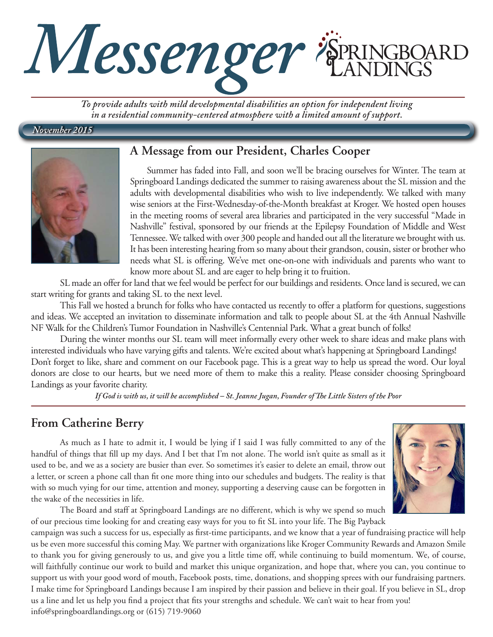

*To provide adults with mild developmental disabilities an option for independent living in a residential community-centered atmosphere with a limited amount of support.*

#### *November 2015*



#### **A Message from our President, Charles Cooper**

Summer has faded into Fall, and soon we'll be bracing ourselves for Winter. The team at Springboard Landings dedicated the summer to raising awareness about the SL mission and the adults with developmental disabilities who wish to live independently. We talked with many wise seniors at the First-Wednesday-of-the-Month breakfast at Kroger. We hosted open houses in the meeting rooms of several area libraries and participated in the very successful "Made in Nashville" festival, sponsored by our friends at the Epilepsy Foundation of Middle and West Tennessee. We talked with over 300 people and handed out all the literature we brought with us. It has been interesting hearing from so many about their grandson, cousin, sister or brother who needs what SL is offering. We've met one-on-one with individuals and parents who want to know more about SL and are eager to help bring it to fruition.

SL made an offer for land that we feel would be perfect for our buildings and residents. Once land is secured, we can start writing for grants and taking SL to the next level.

This Fall we hosted a brunch for folks who have contacted us recently to offer a platform for questions, suggestions and ideas. We accepted an invitation to disseminate information and talk to people about SL at the 4th Annual Nashville NF Walk for the Children's Tumor Foundation in Nashville's Centennial Park. What a great bunch of folks!

During the winter months our SL team will meet informally every other week to share ideas and make plans with interested individuals who have varying gifts and talents. We're excited about what's happening at Springboard Landings! Don't forget to like, share and comment on our Facebook page. This is a great way to help us spread the word. Our loyal donors are close to our hearts, but we need more of them to make this a reality. Please consider choosing Springboard Landings as your favorite charity.

*If God is with us, it will be accomplished – St. Jeanne Jugan, Founder of The Little Sisters of the Poor*

### **From Catherine Berry**

As much as I hate to admit it, I would be lying if I said I was fully committed to any of the handful of things that fill up my days. And I bet that I'm not alone. The world isn't quite as small as it used to be, and we as a society are busier than ever. So sometimes it's easier to delete an email, throw out a letter, or screen a phone call than fit one more thing into our schedules and budgets. The reality is that with so much vying for our time, attention and money, supporting a deserving cause can be forgotten in the wake of the necessities in life.

The Board and staff at Springboard Landings are no different, which is why we spend so much of our precious time looking for and creating easy ways for you to fit SL into your life. The Big Payback



campaign was such a success for us, especially as first-time participants, and we know that a year of fundraising practice will help us be even more successful this coming May. We partner with organizations like Kroger Community Rewards and Amazon Smile to thank you for giving generously to us, and give you a little time off, while continuing to build momentum. We, of course, will faithfully continue our work to build and market this unique organization, and hope that, where you can, you continue to support us with your good word of mouth, Facebook posts, time, donations, and shopping sprees with our fundraising partners. I make time for Springboard Landings because I am inspired by their passion and believe in their goal. If you believe in SL, drop us a line and let us help you find a project that fits your strengths and schedule. We can't wait to hear from you! info@springboardlandings.org or (615) 719-9060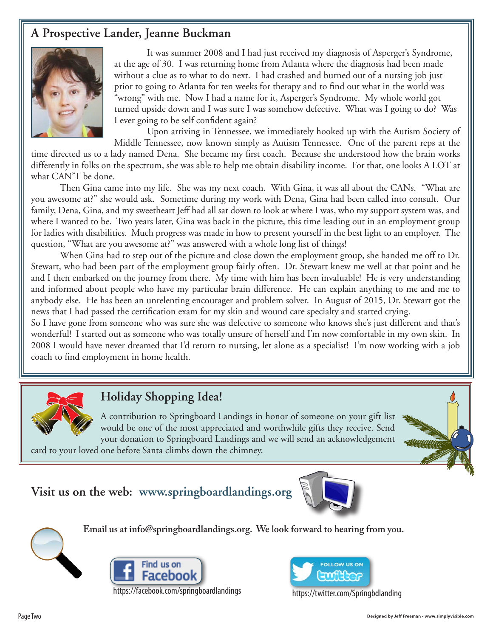### **A Prospective Lander, Jeanne Buckman**



 It was summer 2008 and I had just received my diagnosis of Asperger's Syndrome, at the age of 30. I was returning home from Atlanta where the diagnosis had been made without a clue as to what to do next. I had crashed and burned out of a nursing job just prior to going to Atlanta for ten weeks for therapy and to find out what in the world was "wrong" with me. Now I had a name for it, Asperger's Syndrome. My whole world got turned upside down and I was sure I was somehow defective. What was I going to do? Was I ever going to be self confident again?

 Upon arriving in Tennessee, we immediately hooked up with the Autism Society of Middle Tennessee, now known simply as Autism Tennessee. One of the parent reps at the

time directed us to a lady named Dena. She became my first coach. Because she understood how the brain works differently in folks on the spectrum, she was able to help me obtain disability income. For that, one looks A LOT at what CAN'T be done.

Then Gina came into my life. She was my next coach. With Gina, it was all about the CANs. "What are you awesome at?" she would ask. Sometime during my work with Dena, Gina had been called into consult. Our family, Dena, Gina, and my sweetheart Jeff had all sat down to look at where I was, who my support system was, and where I wanted to be. Two years later, Gina was back in the picture, this time leading out in an employment group for ladies with disabilities. Much progress was made in how to present yourself in the best light to an employer. The question, "What are you awesome at?" was answered with a whole long list of things!

When Gina had to step out of the picture and close down the employment group, she handed me off to Dr. Stewart, who had been part of the employment group fairly often. Dr. Stewart knew me well at that point and he and I then embarked on the journey from there. My time with him has been invaluable! He is very understanding and informed about people who have my particular brain difference. He can explain anything to me and me to anybody else. He has been an unrelenting encourager and problem solver. In August of 2015, Dr. Stewart got the news that I had passed the certification exam for my skin and wound care specialty and started crying.

So I have gone from someone who was sure she was defective to someone who knows she's just different and that's wonderful! I started out as someone who was totally unsure of herself and I'm now comfortable in my own skin. In 2008 I would have never dreamed that I'd return to nursing, let alone as a specialist! I'm now working with a job coach to find employment in home health.



## **Holiday Shopping Idea!**

A contribution to Springboard Landings in honor of someone on your gift list would be one of the most appreciated and worthwhile gifts they receive. Send your donation to Springboard Landings and we will send an acknowledgement card to your loved one before Santa climbs down the chimney.

**Email us at info@springboardlandings.org. We look forward to hearing from you.**

# **Visit us on the web: www.springboardlandings.org**







https://facebook.com/springboardlandings https://twitter.com/Springbdlanding

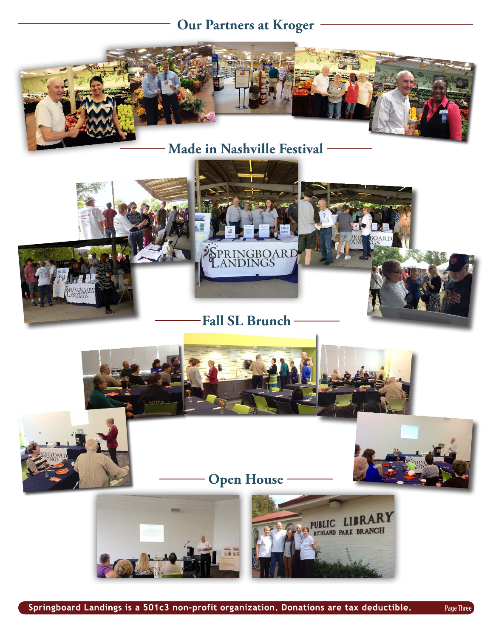# **Our Partners at Kroger**



**Made in Nashville Festival**







**Open House**